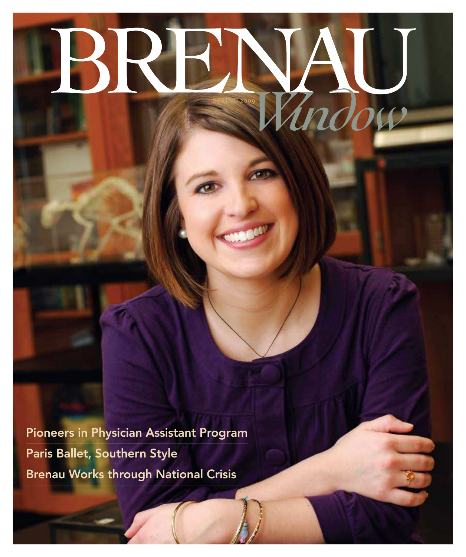Pioneers in Physician Assistant Program Paris Ballet, Southern Style Brenau Works through National Crisis

**spring 2009**

Ting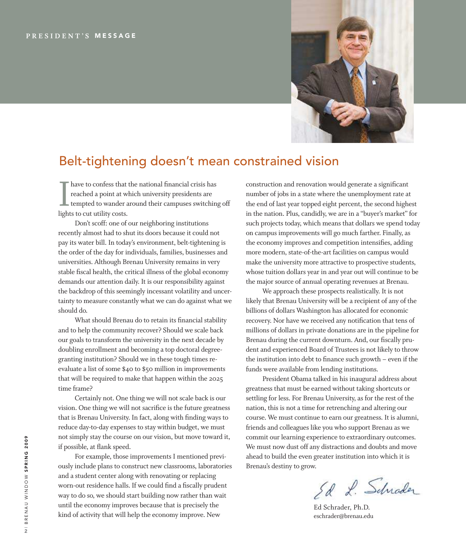

### Belt-tightening doesn't mean constrained vision

 $\prod_{\text{light}}$ have to confess that the national financial crisis has reached a point at which university presidents are tempted to wander around their campuses switching off lights to cut utility costs.

 Don't scoff: one of our neighboring institutions recently almost had to shut its doors because it could not pay its water bill. In today's environment, belt-tightening is the order of the day for individuals, families, businesses and universities. Although Brenau University remains in very stable fiscal health, the critical illness of the global economy demands our attention daily. It is our responsibility against the backdrop of this seemingly incessant volatility and uncertainty to measure constantly what we can do against what we should do.

What should Brenau do to retain its financial stability and to help the community recover? Should we scale back our goals to transform the university in the next decade by doubling enrollment and becoming a top doctoral degreegranting institution? Should we in these tough times reevaluate a list of some \$40 to \$50 million in improvements that will be required to make that happen within the 2025 time frame?

 Certainly not. One thing we will not scale back is our vision. One thing we will not sacriice is the future greatness that is Brenau University. In fact, along with finding ways to reduce day-to-day expenses to stay within budget, we must not simply stay the course on our vision, but move toward it, if possible, at flank speed.

 For example, those improvements I mentioned previously include plans to construct new classrooms, laboratories and a student center along with renovating or replacing worn-out residence halls. If we could find a fiscally prudent way to do so, we should start building now rather than wait until the economy improves because that is precisely the kind of activity that will help the economy improve. New

construction and renovation would generate a significant number of jobs in a state where the unemployment rate at the end of last year topped eight percent, the second highest in the nation. Plus, candidly, we are in a "buyer's market" for such projects today, which means that dollars we spend today on campus improvements will go much farther. Finally, as the economy improves and competition intensifies, adding more modern, state-of-the-art facilities on campus would make the university more attractive to prospective students, whose tuition dollars year in and year out will continue to be the major source of annual operating revenues at Brenau.

 We approach these prospects realistically. It is not likely that Brenau University will be a recipient of any of the billions of dollars Washington has allocated for economic recovery. Nor have we received any notification that tens of millions of dollars in private donations are in the pipeline for Brenau during the current downturn. And, our fiscally prudent and experienced Board of Trustees is not likely to throw the institution into debt to finance such growth – even if the funds were available from lending institutions.

 President Obama talked in his inaugural address about greatness that must be earned without taking shortcuts or settling for less. For Brenau University, as for the rest of the nation, this is not a time for retrenching and altering our course. We must continue to earn our greatness. It is alumni, friends and colleagues like you who support Brenau as we commit our learning experience to extraordinary outcomes. We must now dust off any distractions and doubts and move ahead to build the even greater institution into which it is Brenau's destiny to grow.

Sd L. Schrader

Ed Schrader, Ph.D. eschrader@brenau.edu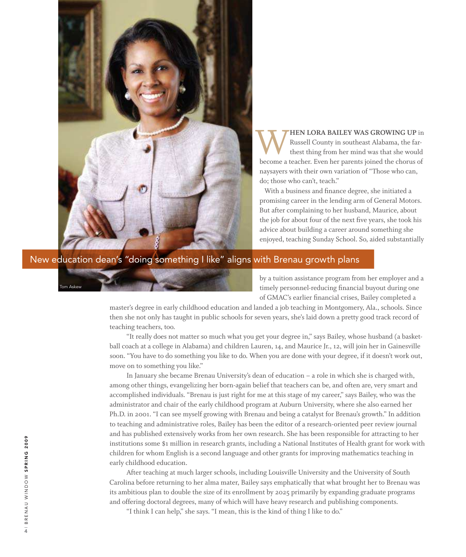

WHEN LORA BAILEY WAS GROWING UP in<br>Russell County in southeast Alabama, the far-<br>thest thing from her mind was that she would<br>become a teacher. Even her parents joined the chorus of **hen Lora BaiLey was growing up** in Russell County in southeast Alabama, the farthest thing from her mind was that she would naysayers with their own variation of "Those who can, do; those who can't, teach."

With a business and finance degree, she initiated a promising career in the lending arm of General Motors. But after complaining to her husband, Maurice, about the job for about four of the next five years, she took his advice about building a career around something she enjoyed, teaching Sunday School. So, aided substantially

#### New education dean's "doing something I like" aligns with Brenau growth plans

by a tuition assistance program from her employer and a timely personnel-reducing financial buyout during one of GMAC's earlier financial crises, Bailey completed a

master's degree in early childhood education and landed a job teaching in Montgomery, Ala., schools. Since then she not only has taught in public schools for seven years, she's laid down a pretty good track record of teaching teachers, too.

 "It really does not matter so much what you get your degree in," says Bailey, whose husband (a basketball coach at a college in Alabama) and children Lauren, 14, and Maurice Jr., 12, will join her in Gainesville soon. "You have to do something you like to do. When you are done with your degree, if it doesn't work out, move on to something you like."

 In January she became Brenau University's dean of education – a role in which she is charged with, among other things, evangelizing her born-again belief that teachers can be, and often are, very smart and accomplished individuals. "Brenau is just right for me at this stage of my career," says Bailey, who was the administrator and chair of the early childhood program at Auburn University, where she also earned her Ph.D. in 2001. "I can see myself growing with Brenau and being a catalyst for Brenau's growth." In addition to teaching and administrative roles, Bailey has been the editor of a research-oriented peer review journal and has published extensively works from her own research. She has been responsible for attracting to her institutions some \$1 million in research grants, including a National Institutes of Health grant for work with children for whom English is a second language and other grants for improving mathematics teaching in early childhood education.

 After teaching at much larger schools, including Louisville University and the University of South Carolina before returning to her alma mater, Bailey says emphatically that what brought her to Brenau was its ambitious plan to double the size of its enrollment by 2025 primarily by expanding graduate programs and offering doctoral degrees, many of which will have heavy research and publishing components.

"I think I can help," she says. "I mean, this is the kind of thing I like to do."

Tom Askew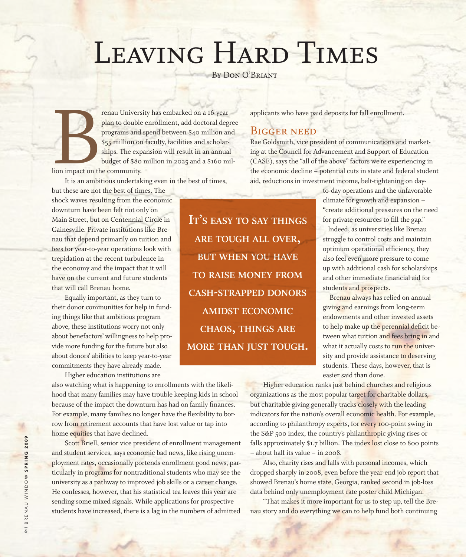# LEAVING HARD TIMES

#### BY DON O'BRIANT

renau University has embarked on a 16-year plan to double enrollment, add doctoral degree programs and spend between \$40 million and \$55 million on faculty, facilities and scholarships. The expansion will result in an annual budget of \$80 million in 2025 and a \$160 mil-

Ion impact on the It is an ambi lion impact on the community.

It is an ambitious undertaking even in the best of times,

but these are not the best of times. The shock waves resulting from the economic downturn have been felt not only on Main Street, but on Centennial Circle in Gainesville. Private institutions like Brenau that depend primarily on tuition and fees for year-to-year operations look with trepidation at the recent turbulence in the economy and the impact that it will have on the current and future students that will call Brenau home.

 Equally important, as they turn to their donor communities for help in funding things like that ambitious program above, these institutions worry not only about benefactors' willingness to help provide more funding for the future but also about donors' abilities to keep year-to-year commitments they have already made.

Higher education institutions are

**aRE TOUGH ALL OVER,** *but when you have* **TO RAISE MONEY FROM** *CASH-STRAPPED DONORS* **AMIDST ECONOMIC cHAOS, THINGS ARE mORE THAN JUST TOUGH.** 

**It'<sup>s</sup> e a s y t o s a y t h I n g s**

applicants who have paid deposits for fall enrollment.

#### Bigger need

Rae Goldsmith, vice president of communications and marketing at the Council for Advancement and Support of Education (CASE), says the "all of the above" factors we're experiencing in the economic decline – potential cuts in state and federal student aid, reductions in investment income, belt-tightening on day-

> to-day operations and the unfavorable climate for growth and expansion – "create additional pressures on the need for private resources to fill the gap."

> Indeed, as universities like Brenau struggle to control costs and maintain optimum operational eficiency, they also feel even more pressure to come up with additional cash for scholarships and other immediate financial aid for students and prospects.

 Brenau always has relied on annual giving and earnings from long-term endowments and other invested assets to help make up the perennial deficit between what tuition and fees bring in and what it actually costs to run the university and provide assistance to deserving students. These days, however, that is easier said than done.

also watching what is happening to enrollments with the likelihood that many families may have trouble keeping kids in school because of the impact the downturn has had on family finances. For example, many families no longer have the flexibility to borrow from retirement accounts that have lost value or tap into home equities that have declined.

 Scott Briell, senior vice president of enrollment management and student services, says economic bad news, like rising unemployment rates, occasionally portends enrollment good news, particularly in programs for nontraditional students who may see the university as a pathway to improved job skills or a career change. He confesses, however, that his statistical tea leaves this year are sending some mixed signals. While applications for prospective students have increased, there is a lag in the numbers of admitted

 Higher education ranks just behind churches and religious organizations as the most popular target for charitable dollars, but charitable giving generally tracks closely with the leading indicators for the nation's overall economic health. For example, according to philanthropy experts, for every 100-point swing in the S&P 500 index, the country's philanthropic giving rises or falls approximately \$1.7 billion. The index lost close to 800 points – about half its value – in 2008.

 Also, charity rises and falls with personal incomes, which dropped sharply in 2008, even before the year-end job report that showed Brenau's home state, Georgia, ranked second in job-loss data behind only unemployment rate poster child Michigan.

 "That makes it more important for us to step up, tell the Brenau story and do everything we can to help fund both continuing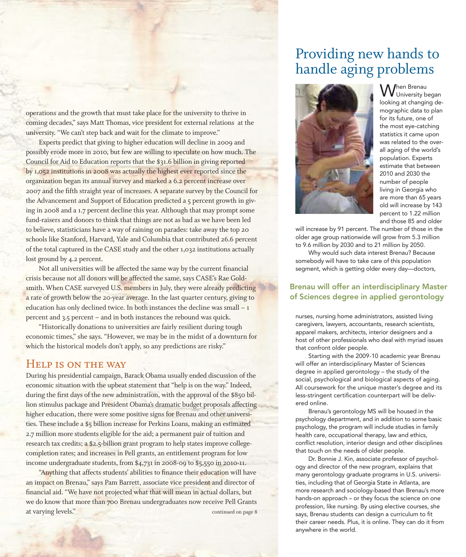operations and the growth that must take place for the university to thrive in coming decades," says Matt Thomas, vice president for external relations at the university. "We can't step back and wait for the climate to improve."

 Experts predict that giving to higher education will decline in 2009 and possibly erode more in 2010, but few are willing to speculate on how much. The Council for Aid to Education reports that the \$31.6 billion in giving reported by 1,052 institutions in 2008 was actually the highest ever reported since the organization began its annual survey and marked a 6.2 percent increase over 2007 and the ifth straight year of increases. A separate survey by the Council for the Advancement and Support of Education predicted a 5 percent growth in giving in 2008 and a 1.7 percent decline this year. Although that may prompt some fund-raisers and donors to think that things are not as bad as we have been led to believe, statisticians have a way of raining on parades: take away the top 20 schools like Stanford, Harvard, Yale and Columbia that contributed 26.6 percent of the total captured in the CASE study and the other 1,032 institutions actually lost ground by 4.2 percent.

Not all universities will be affected the same way by the current financial crisis because not all donors will be affected the same, says CASE's Rae Goldsmith. When CASE surveyed U.S. members in July, they were already predicting a rate of growth below the 20-year average. In the last quarter century, giving to education has only declined twice. In both instances the decline was small  $-1$ percent and 3.5 percent – and in both instances the rebound was quick.

 "Historically donations to universities are fairly resilient during tough economic times," she says. "However, we may be in the midst of a downturn for which the historical models don't apply, so any predictions are risky."

#### Help is on the way

During his presidential campaign, Barack Obama usually ended discussion of the economic situation with the upbeat statement that "help is on the way." Indeed, during the first days of the new administration, with the approval of the \$850 billion stimulus package and President Obama's dramatic budget proposals affecting higher education, there were some positive signs for Brenau and other universities. These include a \$5 billion increase for Perkins Loans, making an estimated 2.7 million more students eligible for the aid; a permanent pair of tuition and research tax credits; a \$2.5-billion grant program to help states improve collegecompletion rates; and increases in Pell grants, an entitlement program for low income undergraduate students, from \$4,731 in 2008-09 to \$5,550 in 2010-11.

"Anything that affects students' abilities to finance their education will have an impact on Brenau," says Pam Barrett, associate vice president and director of financial aid. "We have not projected what that will mean in actual dollars, but we do know that more than 700 Brenau undergraduates now receive Pell Grants at varying levels." continued on page 8

## Providing new hands to handle aging problems



When Brenau<br>W University began looking at changing demographic data to plan for its future, one of the most eye-catching statistics it came upon was related to the overall aging of the world's population. Experts estimate that between 2010 and 2030 the number of people living in Georgia who are more than 65 years old will increase by 143 percent to 1.22 million and those 85 and older

will increase by 91 percent. The number of those in the older age group nationwide will grow from 5.3 million to 9.6 million by 2030 and to 21 million by 2050.

 Why would such data interest Brenau? Because somebody will have to take care of this population segment, which is getting older every day—doctors,

#### Brenau will offer an interdisciplinary Master of Sciences degree in applied gerontology

nurses, nursing home administrators, assisted living caregivers, lawyers, accountants, research scientists, apparel makers, architects, interior designers and a host of other professionals who deal with myriad issues that confront older people.

 Starting with the 2009-10 academic year Brenau will offer an interdisciplinary Master of Sciences degree in applied gerontology – the study of the social, psychological and biological aspects of aging. All coursework for the unique master's degree and its less-stringent certification counterpart will be delivered online.

 Brenau's gerontology MS will be housed in the psychology department, and in addition to some basic psychology, the program will include studies in family health care, occupational therapy, law and ethics, conflict resolution, interior design and other disciplines that touch on the needs of older people.

 Dr. Bonnie J. Kin, associate professor of psychology and director of the new program, explains that many gerontology graduate programs in U.S. universities, including that of Georgia State in Atlanta, are more research and sociology-based than Brenau's more hands-on approach – or they focus the science on one profession, like nursing. By using elective courses, she says, Brenau students can design a curriculum to fit their career needs. Plus, it is online. They can do it from anywhere in the world.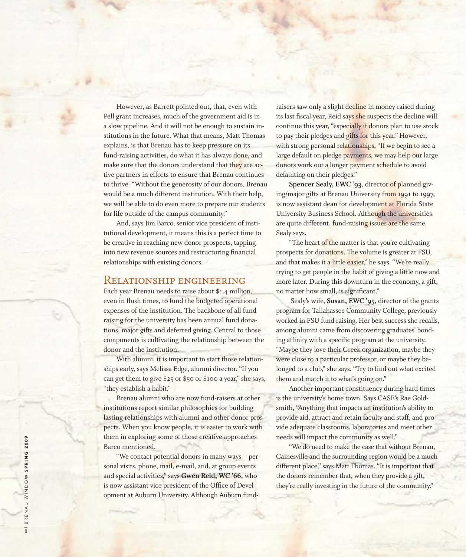However, as Barrett pointed out, that, even with Pell grant increases, much of the government aid is in a slow pipeline. And it will not be enough to sustain institutions in the future. What that means, Matt Thomas explains, is that Brenau has to keep pressure on its fund-raising activities, do what it has always done, and make sure that the donors understand that they are active partners in efforts to ensure that Brenau continues to thrive. "Without the generosity of our donors, Brenau would be a much different institution. With their help, we will be able to do even more to prepare our students for life outside of the campus community."

 And, says Jim Barco, senior vice president of institutional development, it means this is a perfect time to be creative in reaching new donor prospects, tapping into new revenue sources and restructuring financial relationships with existing donors.

#### Relationship engineering

Each year Brenau needs to raise about \$1.4 million, even in flush times, to fund the budgeted operational expenses of the institution. The backbone of all fund raising for the university has been annual fund donations, major gifts and deferred giving. Central to those components is cultivating the relationship between the donor and the institution.

 With alumni, it is important to start those relationships early, says Melissa Edge, alumni director. "If you can get them to give \$25 or \$50 or \$100 a year," she says, "they establish a habit."

 Brenau alumni who are now fund-raisers at other institutions report similar philosophies for building lasting relationships with alumni and other donor prospects. When you know people, it is easier to work with them in exploring some of those creative approaches Barco mentioned.

 "We contact potential donors in many ways – personal visits, phone, mail, e-mail, and, at group events and special activities," says Gwen Reid, WC '66, who is now assistant vice president of the Ofice of Development at Auburn University. Although Auburn fund-

raisers saw only a slight decline in money raised during its last fiscal year, Reid says she suspects the decline will continue this year, "especially if donors plan to use stock to pay their pledges and gifts for this year." However, with strong personal relationships, "If we begin to see a large default on pledge payments, we may help our large donors work out a longer payment schedule to avoid defaulting on their pledges."

**spencer sealy, ewC '93**, director of planned giving/major gifts at Brenau University from 1991 to 1997, is now assistant dean for development at Florida State University Business School. Although the universities are quite different, fund-raising issues are the same, Sealy says.

"The heart of the matter is that you're cultivating prospects for donations. The volume is greater at FSU, and that makes it a little easier," he says. "We're really trying to get people in the habit of giving a little now and more later. During this downturn in the economy, a gift, no matter how small, is significant."

 Sealy's wife, **susan, ewC '95**, director of the grants program for Tallahassee Community College, previously worked in FSU fund raising. Her best success she recalls, among alumni came from discovering graduates' bonding affinity with a specific program at the university. "Maybe they love their Greek organization, maybe they were close to a particular professor, or maybe they belonged to a club," she says. "Try to find out what excited them and match it to what's going on."

 Another important constituency during hard times is the university's home town. Says CASE's Rae Goldsmith, "Anything that impacts an institution's ability to provide aid, attract and retain faculty and staff, and provide adequate classrooms, laboratories and meet other needs will impact the community as well."

 "We do need to make the case that without Brenau, Gainesville and the surrounding region would be a much different place," says Matt Thomas. "It is important that the donors remember that, when they provide a gift, they're really investing in the future of the community."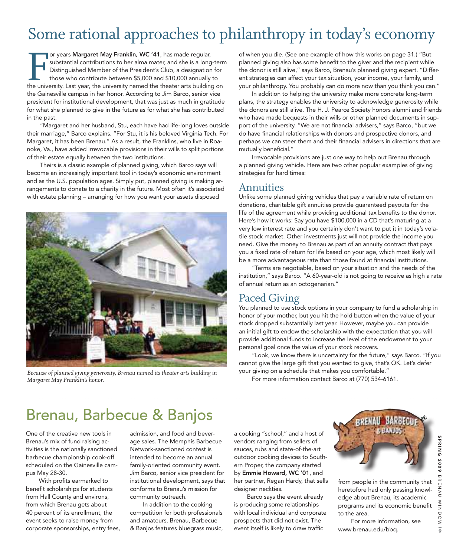# Some rational approaches to philanthropy in today's economy

or years Margaret May Franklin, WC '41, has made regular,<br>substantial contributions to her alma mater, and she is a long-tern<br>Distinguished Member of the President's Club, a designation for<br>those who contribute between \$5, or years Margaret May Franklin, WC '41, has made regular, substantial contributions to her alma mater, and she is a long-term Distinguished Member of the President's Club, a designation for those who contribute between \$5,000 and \$10,000 annually to the Gainesville campus in her honor. According to Jim Barco, senior vice president for institutional development, that was just as much in gratitude for what she planned to give in the future as for what she has contributed in the past.

 "Margaret and her husband, Stu, each have had life-long loves outside their marriage," Barco explains. "For Stu, it is his beloved Virginia Tech. For Margaret, it has been Brenau." As a result, the Franklins, who live in Roanoke, Va., have added irrevocable provisions in their wills to split portions of their estate equally between the two institutions.

 Theirs is a classic example of planned giving, which Barco says will become an increasingly important tool in today's economic environment and as the U.S. population ages. Simply put, planned giving is making arrangements to donate to a charity in the future. Most often it's associated with estate planning – arranging for how you want your assets disposed



*Because of planned giving generosity, Brenau named its theater arts building in Margaret May Franklin's honor.*

of when you die. (See one example of how this works on page 31.) "But planned giving also has some benefit to the giver and the recipient while the donor is still alive," says Barco, Brenau's planned giving expert. "Different strategies can affect your tax situation, your income, your family, and your philanthropy. You probably can do more now than you think you can."

 In addition to helping the university make more concrete long-term plans, the strategy enables the university to acknowledge generosity while the donors are still alive. The H. J. Pearce Society honors alumni and friends who have made bequests in their wills or other planned documents in support of the university. "We are not financial advisers," says Barco, "but we do have financial relationships with donors and prospective donors, and perhaps we can steer them and their financial advisers in directions that are mutually beneficial."

 Irrevocable provisions are just one way to help out Brenau through a planned giving vehicle. Here are two other popular examples of giving strategies for hard times:

#### Annuities

Unlike some planned giving vehicles that pay a variable rate of return on donations, charitable gift annuities provide guaranteed payouts for the life of the agreement while providing additional tax benefits to the donor. Here's how it works: Say you have \$100,000 in a CD that's maturing at a very low interest rate and you certainly don't want to put it in today's volatile stock market. Other investments just will not provide the income you need. Give the money to Brenau as part of an annuity contract that pays you a fixed rate of return for life based on your age, which most likely will be a more advantageous rate than those found at financial institutions.

 "Terms are negotiable, based on your situation and the needs of the institution," says Barco. "A 60-year-old is not going to receive as high a rate of annual return as an octogenarian."

#### Paced Giving

You planned to use stock options in your company to fund a scholarship in honor of your mother, but you hit the hold button when the value of your stock dropped substantially last year. However, maybe you can provide an initial gift to endow the scholarship with the expectation that you will provide additional funds to increase the level of the endowment to your personal goal once the value of your stock recovers.

 "Look, we know there is uncertainty for the future," says Barco. "If you cannot give the large gift that you wanted to give, that's OK. Let's defer your giving on a schedule that makes you comfortable."

For more information contact Barco at (770) 534-6161.

## Brenau, Barbecue & Banjos

One of the creative new tools in Brenau's mix of fund raising activities is the nationally sanctioned barbecue championship cook-off scheduled on the Gainesville campus May 28-30.

 With profits earmarked to benefit scholarships for students from Hall County and environs, from which Brenau gets about 40 percent of its enrollment, the event seeks to raise money from corporate sponsorships, entry fees, admission, and food and beverage sales. The Memphis Barbecue Network-sanctioned contest is intended to become an annual family-oriented community event. Jim Barco, senior vice president for institutional development, says that conforms to Brenau's mission for community outreach.

 In addition to the cooking competition for both professionals and amateurs, Brenau, Barbecue & Banjos features bluegrass music, a cooking "school," and a host of vendors ranging from sellers of sauces, rubs and state-of-the-art outdoor cooking devices to Southern Proper, the company started by Emmie Howard, WC '01, and her partner, Regan Hardy, that sells designer neckties.

 Barco says the event already is producing some relationships with local individual and corporate prospects that did not exist. The event itself is likely to draw traffic



from people in the community that heretofore had only passing knowledge about Brenau, its academic programs and its economic benefit to the area.

 For more information, see www.brenau.edu/bbq.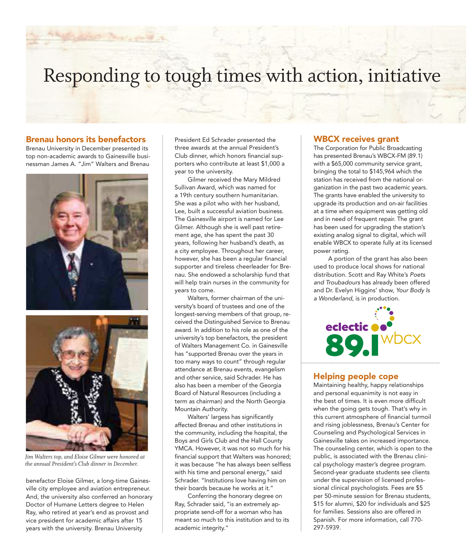# Responding to tough times with action, initiative

#### Brenau honors its benefactors

Brenau University in December presented its top non-academic awards to Gainesville businessman James A. "Jim" Walters and Brenau





*Jim Walters top, and Eloise Gilmer were honored at the annual President's Club dinner in December.*

benefactor Eloise Gilmer, a long-time Gainesville city employee and aviation entrepreneur. And, the university also conferred an honorary Doctor of Humane Letters degree to Helen Ray, who retired at year's end as provost and vice president for academic affairs after 15 years with the university. Brenau University

President Ed Schrader presented the three awards at the annual President's Club dinner, which honors financial supporters who contribute at least \$1,000 a year to the university.

 Gilmer received the Mary Mildred Sullivan Award, which was named for a 19th century southern humanitarian. She was a pilot who with her husband, Lee, built a successful aviation business. The Gainesville airport is named for Lee Gilmer. Although she is well past retirement age, she has spent the past 30 years, following her husband's death, as a city employee. Throughout her career, however, she has been a regular financial supporter and tireless cheerleader for Brenau. She endowed a scholarship fund that will help train nurses in the community for years to come.

 Walters, former chairman of the university's board of trustees and one of the longest-serving members of that group, received the Distinguished Service to Brenau award. In addition to his role as one of the university's top benefactors, the president of Walters Management Co. in Gainesville has "supported Brenau over the years in too many ways to count" through regular attendance at Brenau events, evangelism and other service, said Schrader. He has also has been a member of the Georgia Board of Natural Resources (including a term as chairman) and the North Georgia Mountain Authority.

 Walters' largess has significantly affected Brenau and other institutions in the community, including the hospital, the Boys and Girls Club and the Hall County YMCA. However, it was not so much for his financial support that Walters was honored; it was because "he has always been selfless with his time and personal energy," said Schrader. "Institutions love having him on their boards because he works at it."

 Conferring the honorary degree on Ray, Schrader said, "is an extremely appropriate send-off for a woman who has meant so much to this institution and to its academic integrity."

#### WBCX receives grant

The Corporation for Public Broadcasting has presented Brenau's WBCX-FM (89.1) with a \$65,000 community service grant, bringing the total to \$145,964 which the station has received from the national organization in the past two academic years. The grants have enabled the university to upgrade its production and on-air facilities at a time when equipment was getting old and in need of frequent repair. The grant has been used for upgrading the station's existing analog signal to digital, which will enable WBCX to operate fully at its licensed power rating.

 A portion of the grant has also been used to produce local shows for national distribution. Scott and Ray White's Poets and Troubadours has already been offered and Dr. Evelyn Higgins' show, Your Body Is a Wonderland, is in production.



#### Helping people cope

Maintaining healthy, happy relationships and personal equanimity is not easy in the best of times. It is even more difficult when the going gets tough. That's why in this current atmosphere of financial turmoil and rising joblessness, Brenau's Center for Counseling and Psychological Services in Gainesville takes on increased importance. The counseling center, which is open to the public, is associated with the Brenau clinical psychology master's degree program. Second-year graduate students see clients under the supervision of licensed professional clinical psychologists. Fees are \$5 per 50-minute session for Brenau students, \$15 for alumni, \$20 for individuals and \$25 for families. Sessions also are offered in Spanish. For more information, call 770- 297-5939.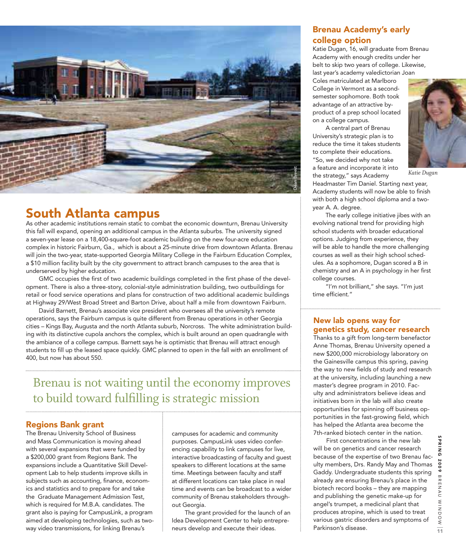

### South Atlanta campus

As other academic institutions remain static to combat the economic downturn, Brenau University this fall will expand, opening an additional campus in the Atlanta suburbs. The university signed a seven-year lease on a 18,400-square-foot academic building on the new four-acre education complex in historic Fairburn, Ga., which is about a 25-minute drive from downtown Atlanta. Brenau will join the two-year, state-supported Georgia Military College in the Fairburn Education Complex, a \$10 million facility built by the city government to attract branch campuses to the area that is underserved by higher education.

 GMC occupies the first of two academic buildings completed in the first phase of the development. There is also a three-story, colonial-style administration building, two outbuildings for retail or food service operations and plans for construction of two additional academic buildings at Highway 29/West Broad Street and Barton Drive, about half a mile from downtown Fairburn.

 David Barnett, Brenau's associate vice president who oversees all the university's remote operations, says the Fairburn campus is quite different from Brenau operations in other Georgia cities – Kings Bay, Augusta and the north Atlanta suburb, Norcross. The white administration building with its distinctive cupola anchors the complex, which is built around an open quadrangle with the ambiance of a college campus. Barnett says he is optimistic that Brenau will attract enough students to fill up the leased space quickly. GMC planned to open in the fall with an enrollment of 400, but now has about 550.

Brenau is not waiting until the economy improves to build toward fulfilling is strategic mission

#### Regions Bank grant

The Brenau University School of Business and Mass Communication is moving ahead with several expansions that were funded by a \$200,000 grant from Regions Bank. The expansions include a Quantitative Skill Development Lab to help students improve skills in subjects such as accounting, finance, economics and statistics and to prepare for and take the Graduate Management Admission Test, which is required for M.B.A. candidates. The grant also is paying for CampusLink, a program aimed at developing technologies, such as twoway video transmissions, for linking Brenau's

campuses for academic and community purposes. CampusLink uses video conferencing capability to link campuses for live, interactive broadcasting of faculty and guest speakers to different locations at the same time. Meetings between faculty and staff at different locations can take place in real time and events can be broadcast to a wider community of Brenau stakeholders throughout Georgia.

 The grant provided for the launch of an Idea Development Center to help entrepreneurs develop and execute their ideas.

#### Brenau Academy's early college option

Katie Dugan, 16, will graduate from Brenau Academy with enough credits under her belt to skip two years of college. Likewise, last year's academy valedictorian Joan

Coles matriculated at Marlboro College in Vermont as a secondsemester sophomore. Both took advantage of an attractive byproduct of a prep school located on a college campus.

 A central part of Brenau University's strategic plan is to reduce the time it takes students to complete their educations. "So, we decided why not take a feature and incorporate it into the strategy," says Academy



*Katie Dugan*

Headmaster Tim Daniel. Starting next year, Academy students will now be able to finish with both a high school diploma and a twoyear A. A. degree.

 The early college initiative jibes with an evolving national trend for providing high school students with broader educational options. Judging from experience, they will be able to handle the more challenging courses as well as their high school schedules. As a sophomore, Dugan scored a B in chemistry and an A in psychology in her first college courses.

 "I'm not brilliant," she says. "I'm just time efficient."

#### New lab opens way for genetics study, cancer research

Thanks to a gift from long-term benefactor Anne Thomas, Brenau University opened a new \$200,000 microbiology laboratory on the Gainesville campus this spring, paving the way to new fields of study and research at the university, including launching a new master's degree program in 2010. Faculty and administrators believe ideas and initiatives born in the lab will also create opportunities for spinning off business opportunities in the fast-growing field, which has helped the Atlanta area become the 7th-ranked biotech center in the nation.

 First concentrations in the new lab will be on genetics and cancer research because of the expertise of two Brenau faculty members, Drs. Randy May and Thomas Gaddy. Undergraduate students this spring already are ensuring Brenau's place in the biotech record books – they are mapping and publishing the genetic make-up for angel's trumpet, a medicinal plant that produces atropine, which is used to treat various gastric disorders and symptoms of Parkinson's disease.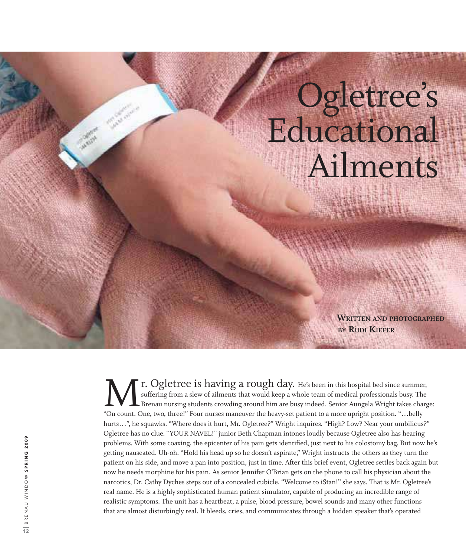# Ogletree's Educational Ailments

**WRITTEN AND PHOTOGRA BY** RUDI KIEFER

**M** I. Ogletree is having a rough day. He's been in this hospital bed since summer suffering from a slew of ailments that would keep a whole team of medical professionals busy. The Brenau nursing students crowding around h r. Ogletree is having a rough day. He's been in this hospital bed since summer, suffering from a slew of ailments that would keep a whole team of medical professionals busy. The Brenau nursing students crowding around him are busy indeed. Senior Aungela Wright takes charge: hurts…", he squawks. "Where does it hurt, Mr. Ogletree?" Wright inquires. "High? Low? Near your umbilicus?" Ogletree has no clue. "YOUR NAVEL!" junior Beth Chapman intones loudly because Ogletree also has hearing problems. With some coaxing, the epicenter of his pain gets identiied, just next to his colostomy bag. But now he's getting nauseated. Uh-oh. "Hold his head up so he doesn't aspirate," Wright instructs the others as they turn the patient on his side, and move a pan into position, just in time. After this brief event, Ogletree settles back again but now he needs morphine for his pain. As senior Jennifer O'Brian gets on the phone to call his physician about the narcotics, Dr. Cathy Dyches steps out of a concealed cubicle. "Welcome to iStan!" she says. That is Mr. Ogletree's real name. He is a highly sophisticated human patient simulator, capable of producing an incredible range of realistic symptoms. The unit has a heartbeat, a pulse, blood pressure, bowel sounds and many other functions that are almost disturbingly real. It bleeds, cries, and communicates through a hidden speaker that's operated

**Charles Rivers** 

Anton R.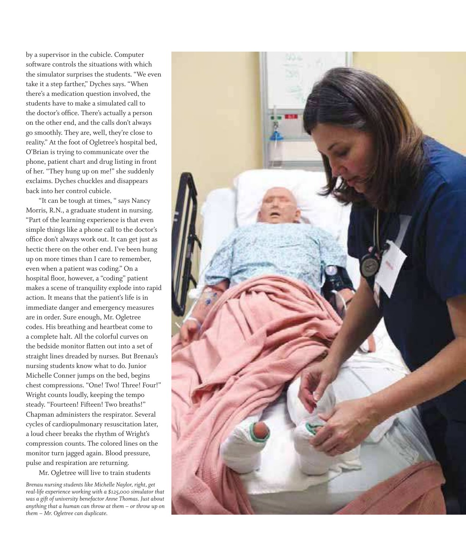by a supervisor in the cubicle. Computer software controls the situations with which the simulator surprises the students. "We even take it a step farther," Dyches says. "When there's a medication question involved, the students have to make a simulated call to the doctor's ofice. There's actually a person on the other end, and the calls don't always go smoothly. They are, well, they're close to reality." At the foot of Ogletree's hospital bed, O'Brian is trying to communicate over the phone, patient chart and drug listing in front of her. "They hung up on me!" she suddenly exclaims. Dyches chuckles and disappears back into her control cubicle.

 "It can be tough at times, " says Nancy Morris, R.N., a graduate student in nursing. "Part of the learning experience is that even simple things like a phone call to the doctor's ofice don't always work out. It can get just as hectic there on the other end. I've been hung up on more times than I care to remember, even when a patient was coding." On a hospital floor, however, a "coding" patient makes a scene of tranquility explode into rapid action. It means that the patient's life is in immediate danger and emergency measures are in order. Sure enough, Mr. Ogletree codes. His breathing and heartbeat come to a complete halt. All the colorful curves on the bedside monitor latten out into a set of straight lines dreaded by nurses. But Brenau's nursing students know what to do. Junior Michelle Conner jumps on the bed, begins chest compressions. "One! Two! Three! Four!" Wright counts loudly, keeping the tempo steady. "Fourteen! Fifteen! Two breaths!" Chapman administers the respirator. Several cycles of cardiopulmonary resuscitation later, a loud cheer breaks the rhythm of Wright's compression counts. The colored lines on the monitor turn jagged again. Blood pressure, pulse and respiration are returning.

Mr. Ogletree will live to train students

*Brenau nursing students like Michelle Naylor, right, get real-life experience working with a \$125,000 simulator that was a gift of university benefactor Anne Thomas. Just about anything that a human can throw at them – or throw up on them – Mr. Ogletree can duplicate.*

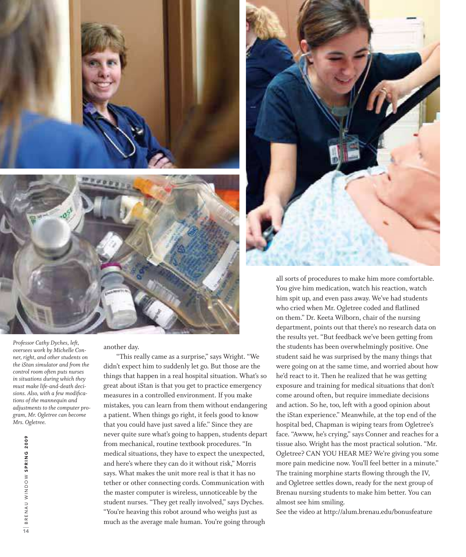



*Professor Cathy Dyches, left, oversees work by Michelle Conner, right, and other students on the iStan simulator and from the control room often puts nurses in situations during which they must make life-and-death decisions. Also, with a few modiications of the mannequin and adjustments to the computer program, Mr. Ogletree can become Mrs. Ogletree.*

another day.

 "This really came as a surprise," says Wright. "We didn't expect him to suddenly let go. But those are the things that happen in a real hospital situation. What's so great about iStan is that you get to practice emergency measures in a controlled environment. If you make mistakes, you can learn from them without endangering a patient. When things go right, it feels good to know that you could have just saved a life." Since they are never quite sure what's going to happen, students depart from mechanical, routine textbook procedures. "In medical situations, they have to expect the unexpected, and here's where they can do it without risk," Morris says. What makes the unit more real is that it has no tether or other connecting cords. Communication with the master computer is wireless, unnoticeable by the student nurses. "They get really involved," says Dyches. "You're heaving this robot around who weighs just as much as the average male human. You're going through



all sorts of procedures to make him more comfortable. You give him medication, watch his reaction, watch him spit up, and even pass away. We've had students who cried when Mr. Ogletree coded and flatlined on them." Dr. Keeta Wilborn, chair of the nursing department, points out that there's no research data on the results yet. "But feedback we've been getting from the students has been overwhelmingly positive. One student said he was surprised by the many things that were going on at the same time, and worried about how he'd react to it. Then he realized that he was getting exposure and training for medical situations that don't come around often, but require immediate decisions and action. So he, too, left with a good opinion about the iStan experience." Meanwhile, at the top end of the hospital bed, Chapman is wiping tears from Ogletree's face. "Awww, he's crying," says Conner and reaches for a tissue also. Wright has the most practical solution. "Mr. Ogletree? CAN YOU HEAR ME? We're giving you some more pain medicine now. You'll feel better in a minute." The training morphine starts lowing through the IV, and Ogletree settles down, ready for the next group of Brenau nursing students to make him better. You can almost see him smiling.

See the video at http://alum.brenau.edu/bonusfeature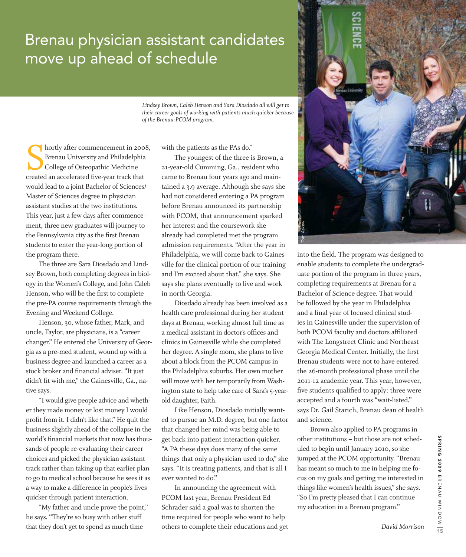# Brenau physician assistant candidates move up ahead of schedule

*Lindsey Brown, Caleb Henson and Sara Diosdado all will get to their career goals of working with patients much quicker because of the Brenau-PCOM program.*

 $\begin{tabular}{|l|l|} \hline \textbf{horly after commencement in 200} \textbf{Brenau University and Philadelphia} \\ \hline \textbf{College of Osteopathic Medicine} \\ \textbf{created an accelerated five-year track that} \end{tabular}$ hortly after commencement in 2008, Brenau University and Philadelphia College of Osteopathic Medicine would lead to a joint Bachelor of Sciences/ Master of Sciences degree in physician assistant studies at the two institutions. This year, just a few days after commencement, three new graduates will journey to the Pennsylvania city as the first Brenau students to enter the year-long portion of the program there.

 The three are Sara Diosdado and Lindsey Brown, both completing degrees in biology in the Women's College, and John Caleb Henson, who will be the first to complete the pre-PA course requirements through the Evening and Weekend College.

 Henson, 30, whose father, Mark, and uncle, Taylor, are physicians, is a "career changer." He entered the University of Georgia as a pre-med student, wound up with a business degree and launched a career as a stock broker and financial adviser. "It just didn't fit with me," the Gainesville, Ga., native says.

 "I would give people advice and whether they made money or lost money I would profit from it. I didn't like that." He quit the business slightly ahead of the collapse in the world's financial markets that now has thousands of people re-evaluating their career choices and picked the physician assistant track rather than taking up that earlier plan to go to medical school because he sees it as a way to make a difference in people's lives quicker through patient interaction.

 "My father and uncle prove the point," he says. "They're so busy with other stuff that they don't get to spend as much time

with the patients as the PAs do."

 The youngest of the three is Brown, a 21-year-old Cumming, Ga., resident who came to Brenau four years ago and maintained a 3.9 average. Although she says she had not considered entering a PA program before Brenau announced its partnership with PCOM, that announcement sparked her interest and the coursework she already had completed met the program admission requirements. "After the year in Philadelphia, we will come back to Gainesville for the clinical portion of our training and I'm excited about that," she says. She says she plans eventually to live and work in north Georgia.

 Diosdado already has been involved as a health care professional during her student days at Brenau, working almost full time as a medical assistant in doctor's ofices and clinics in Gainesville while she completed her degree. A single mom, she plans to live about a block from the PCOM campus in the Philadelphia suburbs. Her own mother will move with her temporarily from Washington state to help take care of Sara's 5-yearold daughter, Faith.

 Like Henson, Diosdado initially wanted to pursue an M.D. degree, but one factor that changed her mind was being able to get back into patient interaction quicker. "A PA these days does many of the same things that only a physician used to do," she says. "It is treating patients, and that is all I ever wanted to do."

 In announcing the agreement with PCOM last year, Brenau President Ed Schrader said a goal was to shorten the time required for people who want to help others to complete their educations and get



into the field. The program was designed to enable students to complete the undergraduate portion of the program in three years, completing requirements at Brenau for a Bachelor of Science degree. That would be followed by the year in Philadelphia and a final year of focused clinical studies in Gainesville under the supervision of both PCOM faculty and doctors afiliated with The Longstreet Clinic and Northeast Georgia Medical Center. Initially, the first Brenau students were not to have entered the 26-month professional phase until the 2011-12 academic year. This year, however, five students qualified to apply: three were accepted and a fourth was "wait-listed," says Dr. Gail Starich, Brenau dean of health and science.

 Brown also applied to PA programs in other institutions – but those are not scheduled to begin until January 2010, so she jumped at the PCOM opportunity. "Brenau has meant so much to me in helping me focus on my goals and getting me interested in things like women's health issues," she says. "So I'm pretty pleased that I can continue my education in a Brenau program."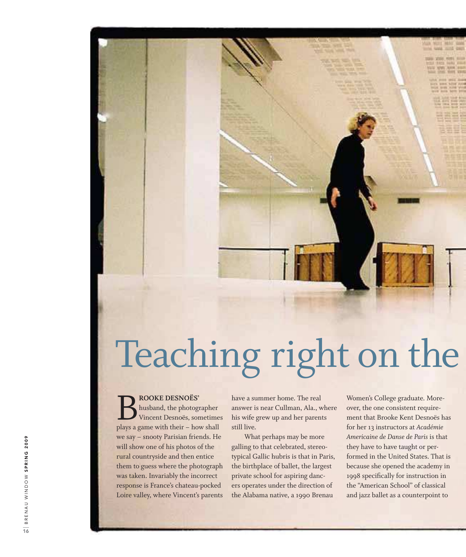# Teaching right on the

**B** ROOKE DESNOËS'<br>Vincent Desnoës, sometime<br>plays a game with their – how shall **rooke desnoës'** husband, the photographer Vincent Desnoës, sometimes we say – snooty Parisian friends. He will show one of his photos of the rural countryside and then entice them to guess where the photograph was taken. Invariably the incorrect response is France's chateau-pocked Loire valley, where Vincent's parents

have a summer home. The real answer is near Cullman, Ala., where his wife grew up and her parents still live.

 What perhaps may be more galling to that celebrated, stereotypical Gallic hubris is that in Paris, the birthplace of ballet, the largest private school for aspiring dancers operates under the direction of the Alabama native, a 1990 Brenau

Women's College graduate. Moreover, the one consistent requirement that Brooke Kent Desnoës has for her 13 instructors at *Académie Americaine de Danse de Paris* is that they have to have taught or performed in the United States. That is because she opened the academy in 1998 specifically for instruction in the "American School" of classical and jazz ballet as a counterpoint to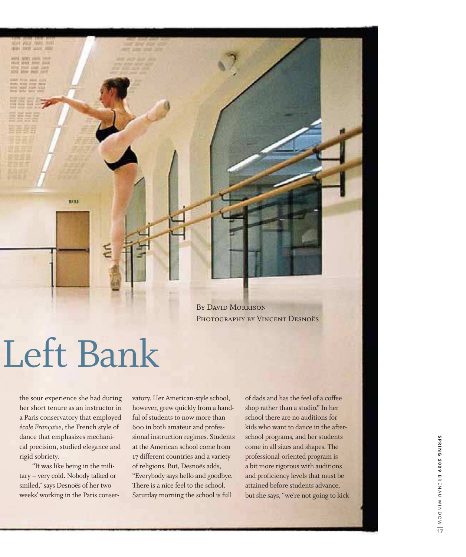

By David Morrison Photography by Vincent Desnoës

# Left Bank

the sour experience she had during her short tenure as an instructor in a Paris conservatory that employed *école Française*, the French style of dance that emphasizes mechanical precision, studied elegance and rigid sobriety.

 "It was like being in the military – very cold. Nobody talked or smiled," says Desnoës of her two weeks' working in the Paris conservatory. Her American-style school, however, grew quickly from a handful of students to now more than 600 in both amateur and professional instruction regimes. Students at the American school come from 17 different countries and a variety of religions. But, Desnoës adds, "Everybody says hello and goodbye. There is a nice feel to the school. Saturday morning the school is full

of dads and has the feel of a coffee shop rather than a studio." In her school there are no auditions for kids who want to dance in the afterschool programs, and her students come in all sizes and shapes. The professional-oriented program is a bit more rigorous with auditions and proficiency levels that must be attained before students advance, but she says, "we're not going to kick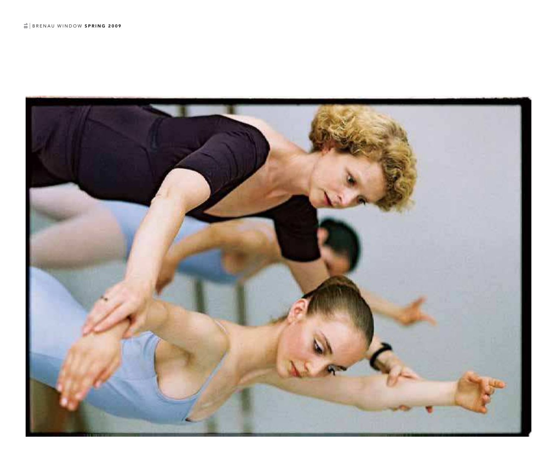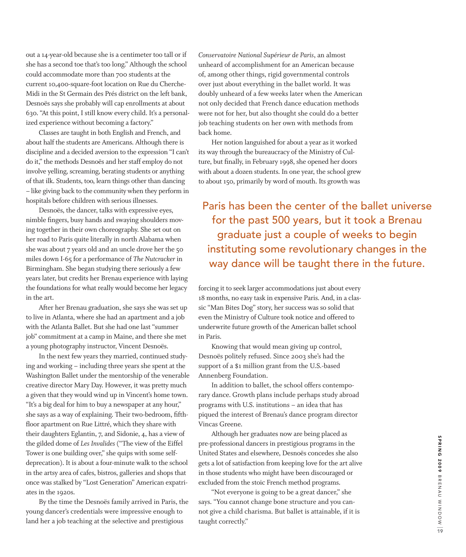out a 14-year-old because she is a centimeter too tall or if she has a second toe that's too long." Although the school could accommodate more than 700 students at the current 10,400-square-foot location on Rue du Cherche-Midi in the St Germain des Prés district on the left bank, Desnoës says she probably will cap enrollments at about 630. "At this point, I still know every child. It's a personalized experience without becoming a factory."

 Classes are taught in both English and French, and about half the students are Americans. Although there is discipline and a decided aversion to the expression "I can't do it," the methods Desnoës and her staff employ do not involve yelling, screaming, berating students or anything of that ilk. Students, too, learn things other than dancing – like giving back to the community when they perform in hospitals before children with serious illnesses.

 Desnoës, the dancer, talks with expressive eyes, nimble fingers, busy hands and swaying shoulders moving together in their own choreography. She set out on her road to Paris quite literally in north Alabama when she was about 7 years old and an uncle drove her the 50 miles down I-65 for a performance of *The Nutcracker* in Birmingham. She began studying there seriously a few years later, but credits her Brenau experience with laying the foundations for what really would become her legacy in the art.

 After her Brenau graduation, she says she was set up to live in Atlanta, where she had an apartment and a job with the Atlanta Ballet. But she had one last "summer job" commitment at a camp in Maine, and there she met a young photography instructor, Vincent Desnoës.

 In the next few years they married, continued studying and working – including three years she spent at the Washington Ballet under the mentorship of the venerable creative director Mary Day. However, it was pretty much a given that they would wind up in Vincent's home town. "It's a big deal for him to buy a newspaper at any hour," she says as a way of explaining. Their two-bedroom, fifthfloor apartment on Rue Littré, which they share with their daughters Eglantin, 7, and Sidonie, 4, has a view of the gilded dome of *Les Invalides* ("The view of the Eiffel Tower is one building over," she quips with some selfdeprecation). It is about a four-minute walk to the school in the artsy area of cafes, bistros, galleries and shops that once was stalked by "Lost Generation" American expatriates in the 1920s.

 By the time the Desnoës family arrived in Paris, the young dancer's credentials were impressive enough to land her a job teaching at the selective and prestigious

*Conservatoire National Supérieur de Paris*, an almost unheard of accomplishment for an American because of, among other things, rigid governmental controls over just about everything in the ballet world. It was doubly unheard of a few weeks later when the American not only decided that French dance education methods were not for her, but also thought she could do a better job teaching students on her own with methods from back home.

 Her notion languished for about a year as it worked its way through the bureaucracy of the Ministry of Culture, but finally, in February 1998, she opened her doors with about a dozen students. In one year, the school grew to about 150, primarily by word of mouth. Its growth was

Paris has been the center of the ballet universe for the past 500 years, but it took a Brenau graduate just a couple of weeks to begin instituting some revolutionary changes in the way dance will be taught there in the future.

forcing it to seek larger accommodations just about every 18 months, no easy task in expensive Paris. And, in a classic "Man Bites Dog" story, her success was so solid that even the Ministry of Culture took notice and offered to underwrite future growth of the American ballet school in Paris.

 Knowing that would mean giving up control, Desnoës politely refused. Since 2003 she's had the support of a \$1 million grant from the U.S.-based Annenberg Foundation.

 In addition to ballet, the school offers contemporary dance. Growth plans include perhaps study abroad programs with U.S. institutions – an idea that has piqued the interest of Brenau's dance program director Vincas Greene.

 Although her graduates now are being placed as pre-professional dancers in prestigious programs in the United States and elsewhere, Desnoës concedes she also gets a lot of satisfaction from keeping love for the art alive in those students who might have been discouraged or excluded from the stoic French method programs.

 "Not everyone is going to be a great dancer," she says. "You cannot change bone structure and you cannot give a child charisma. But ballet is attainable, if it is taught correctly."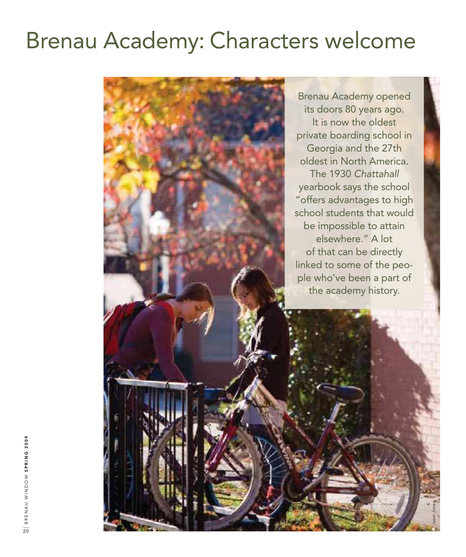# Brenau Academy: Characters welcome

Brenau Academy opened its doors 80 years ago. It is now the oldest private boarding school in Georgia and the 27th oldest in North America. The 1930 Chattahall yearbook says the school "offers advantages to high school students that would be impossible to attain elsewhere." A lot of that can be directly linked to some of the people who've been a part of the academy history.

Jason Jones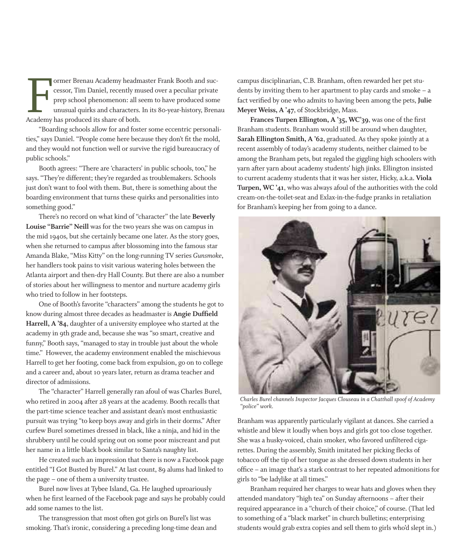France Brenau Academy headness<br>The Maniel, recently material is unusual quirks and characters.<br>Academy has produced its share of both. ormer Brenau Academy headmaster Frank Booth and successor, Tim Daniel, recently mused over a peculiar private prep school phenomenon: all seem to have produced some unusual quirks and characters. In its 80-year-history, Brenau

 "Boarding schools allow for and foster some eccentric personalities," says Daniel. "People come here because they don't it the mold, and they would not function well or survive the rigid bureaucracy of public schools."

 Booth agrees: "There are 'characters' in public schools, too," he says. "They're different; they're regarded as troublemakers. Schools just don't want to fool with them. But, there is something about the boarding environment that turns these quirks and personalities into something good."

 There's no record on what kind of "character" the late **Beverly Louise "Barrie" neill** was for the two years she was on campus in the mid 1940s, but she certainly became one later. As the story goes, when she returned to campus after blossoming into the famous star Amanda Blake, "Miss Kitty" on the long-running TV series *Gunsmoke*, her handlers took pains to visit various watering holes between the Atlanta airport and then-dry Hall County. But there are also a number of stories about her willingness to mentor and nurture academy girls who tried to follow in her footsteps.

 One of Booth's favorite "characters" among the students he got to know during almost three decades as headmaster is **Angie Dufield harrell, a '84**, daughter of a university employee who started at the academy in 9th grade and, because she was "so smart, creative and funny," Booth says, "managed to stay in trouble just about the whole time." However, the academy environment enabled the mischievous Harrell to get her footing, come back from expulsion, go on to college and a career and, about 10 years later, return as drama teacher and director of admissions.

 The "character" Harrell generally ran afoul of was Charles Burel, who retired in 2004 after 28 years at the academy. Booth recalls that the part-time science teacher and assistant dean's most enthusiastic pursuit was trying "to keep boys away and girls in their dorms." After curfew Burel sometimes dressed in black, like a ninja, and hid in the shrubbery until he could spring out on some poor miscreant and put her name in a little black book similar to Santa's naughty list.

 He created such an impression that there is now a Facebook page entitled "I Got Busted by Burel." At last count, 89 alums had linked to the page – one of them a university trustee.

 Burel now lives at Tybee Island, Ga. He laughed uproariously when he first learned of the Facebook page and says he probably could add some names to the list.

 The transgression that most often got girls on Burel's list was smoking. That's ironic, considering a preceding long-time dean and campus disciplinarian, C.B. Branham, often rewarded her pet students by inviting them to her apartment to play cards and smoke – a fact verified by one who admits to having been among the pets, **Julie Meyer weiss, a '47**, of Stockbridge, Mass.

Frances Turpen Ellington, A '35, WC'39, was one of the first Branham students. Branham would still be around when daughter, Sarah Ellington Smith, A '62, graduated. As they spoke jointly at a recent assembly of today's academy students, neither claimed to be among the Branham pets, but regaled the giggling high schoolers with yarn after yarn about academy students' high jinks. Ellington insisted to current academy students that it was her sister, Hicky, a.k.a. **Viola turpen, wC '41**, who was always afoul of the authorities with the cold cream-on-the-toilet-seat and Exlax-in-the-fudge pranks in retaliation for Branham's keeping her from going to a dance.



*Charles Burel channels Inspector Jacques Clouseau in a Chatthall spoof of Academy "police" work.*

Branham was apparently particularly vigilant at dances. She carried a whistle and blew it loudly when boys and girls got too close together. She was a husky-voiced, chain smoker, who favored unfiltered cigarettes. During the assembly, Smith imitated her picking lecks of tobacco off the tip of her tongue as she dressed down students in her ofice – an image that's a stark contrast to her repeated admonitions for girls to "be ladylike at all times."

 Branham required her charges to wear hats and gloves when they attended mandatory "high tea" on Sunday afternoons – after their required appearance in a "church of their choice," of course. (That led to something of a "black market" in church bulletins; enterprising students would grab extra copies and sell them to girls who'd slept in.)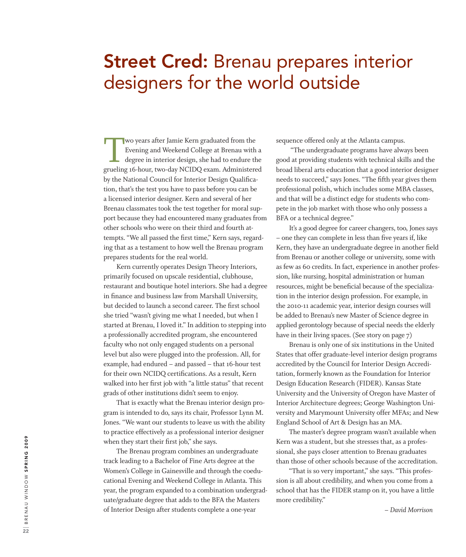# **Street Cred: Brenau prepares interior** designers for the world outside

wo years after Jamie Kern graduated from the<br>Evening and Weekend College at Brenau with a<br>degree in interior design, she had to endure the<br>grueling 16-hour, two-day NCIDQ exam. Administered wo years after Jamie Kern graduated from the Evening and Weekend College at Brenau with a degree in interior design, she had to endure the by the National Council for Interior Design Qualification, that's the test you have to pass before you can be a licensed interior designer. Kern and several of her Brenau classmates took the test together for moral support because they had encountered many graduates from other schools who were on their third and fourth attempts. "We all passed the first time," Kern says, regarding that as a testament to how well the Brenau program prepares students for the real world.

 Kern currently operates Design Theory Interiors, primarily focused on upscale residential, clubhouse, restaurant and boutique hotel interiors. She had a degree in finance and business law from Marshall University, but decided to launch a second career. The first school she tried "wasn't giving me what I needed, but when I started at Brenau, I loved it." In addition to stepping into a professionally accredited program, she encountered faculty who not only engaged students on a personal level but also were plugged into the profession. All, for example, had endured – and passed – that 16-hour test for their own NCIDQ certifications. As a result, Kern walked into her first job with "a little status" that recent grads of other institutions didn't seem to enjoy.

 That is exactly what the Brenau interior design program is intended to do, says its chair, Professor Lynn M. Jones. "We want our students to leave us with the ability to practice effectively as a professional interior designer when they start their first job," she says.

 The Brenau program combines an undergraduate track leading to a Bachelor of Fine Arts degree at the Women's College in Gainesville and through the coeducational Evening and Weekend College in Atlanta. This year, the program expanded to a combination undergraduate/graduate degree that adds to the BFA the Masters of Interior Design after students complete a one-year

sequence offered only at the Atlanta campus.

 "The undergraduate programs have always been good at providing students with technical skills and the broad liberal arts education that a good interior designer needs to succeed," says Jones. "The fifth year gives them professional polish, which includes some MBA classes, and that will be a distinct edge for students who compete in the job market with those who only possess a BFA or a technical degree."

 It's a good degree for career changers, too, Jones says – one they can complete in less than five years if, like Kern, they have an undergraduate degree in another field from Brenau or another college or university, some with as few as 60 credits. In fact, experience in another profession, like nursing, hospital administration or human resources, might be beneficial because of the specialization in the interior design profession. For example, in the 2010-11 academic year, interior design courses will be added to Brenau's new Master of Science degree in applied gerontology because of special needs the elderly have in their living spaces. (See story on page 7)

 Brenau is only one of six institutions in the United States that offer graduate-level interior design programs accredited by the Council for Interior Design Accreditation, formerly known as the Foundation for Interior Design Education Research (FIDER). Kansas State University and the University of Oregon have Master of Interior Architecture degrees; George Washington University and Marymount University offer MFAs; and New England School of Art & Design has an MA.

 The master's degree program wasn't available when Kern was a student, but she stresses that, as a professional, she pays closer attention to Brenau graduates than those of other schools because of the accreditation.

 "That is so very important," she says. "This profession is all about credibility, and when you come from a school that has the FIDER stamp on it, you have a little more credibility."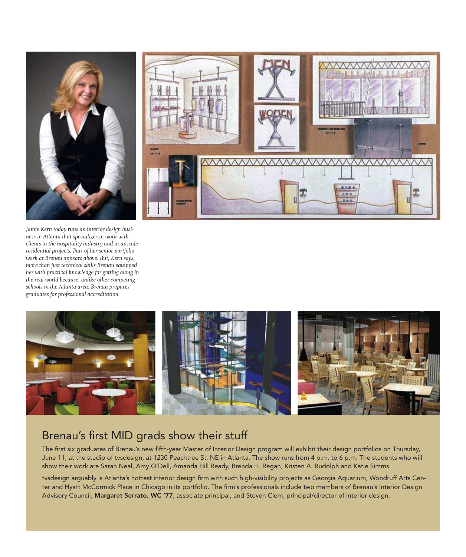

*Jamie Kern today runs an interior design business in Atlanta that specializes in work with clients in the hospitality industry and in upscale residential projects. Part of her senior portfolio work at Brenau appears above. But, Kern says, more than just technical skills Brenau equipped her with practical knowledge for getting along in the real world because, unlike other competing schools in the Atlanta area, Brenau prepares graduates for professional accreditation.*





### Brenau's first MID grads show their stuff

The first six graduates of Brenau's new fifth-year Master of Interior Design program will exhibit their design portfolios on Thursday, June 11, at the studio of tvsdesign, at 1230 Peachtree St. NE in Atlanta. The show runs from 4 p.m. to 6 p.m. The students who will show their work are Sarah Neal, Amy O'Dell, Amanda Hill Ready, Brenda H. Regan, Kristen A. Rudolph and Katie Simms.

tvsdesign arguably is Atlanta's hottest interior design firm with such high-visibility projects as Georgia Aquarium, Woodruff Arts Center and Hyatt McCormick Place in Chicago in its portfolio. The firm's professionals include two members of Brenau's Interior Design Advisory Council, Margaret Serrato, WC '77, associate principal, and Steven Clem, principal/director of interior design.